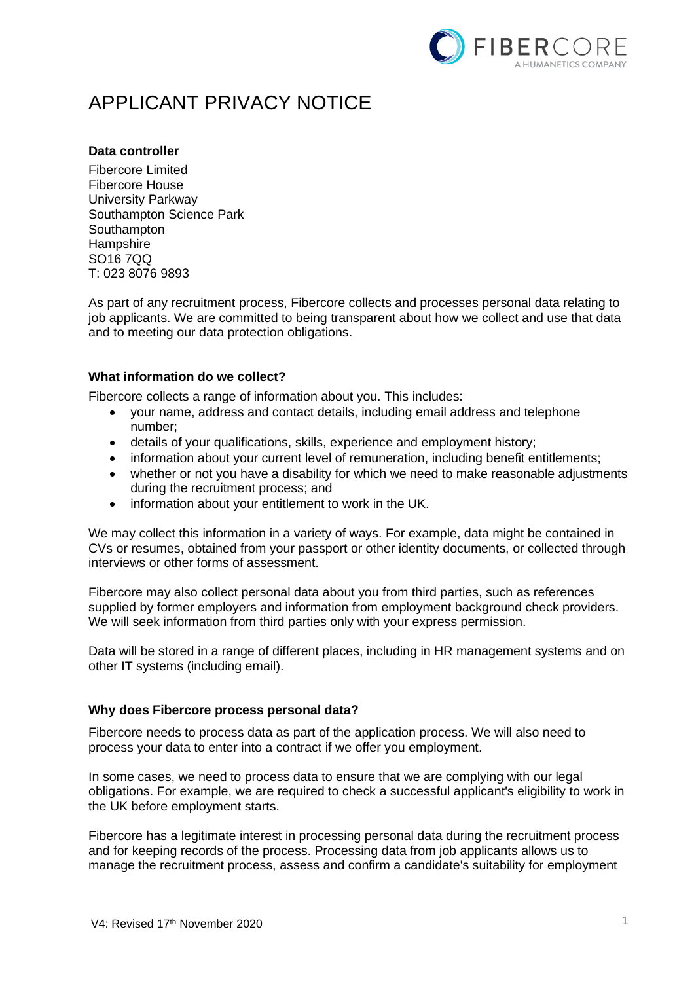

# APPLICANT PRIVACY NOTICE

# **Data controller**

Fibercore Limited Fibercore House University Parkway Southampton Science Park **Southampton Hampshire** SO16 7QQ T: 023 8076 9893

As part of any recruitment process, Fibercore collects and processes personal data relating to job applicants. We are committed to being transparent about how we collect and use that data and to meeting our data protection obligations.

# **What information do we collect?**

Fibercore collects a range of information about you. This includes:

- your name, address and contact details, including email address and telephone number;
- details of your qualifications, skills, experience and employment history;
- information about your current level of remuneration, including benefit entitlements;
- whether or not you have a disability for which we need to make reasonable adjustments during the recruitment process; and
- information about your entitlement to work in the UK.

We may collect this information in a variety of ways. For example, data might be contained in CVs or resumes, obtained from your passport or other identity documents, or collected through interviews or other forms of assessment.

Fibercore may also collect personal data about you from third parties, such as references supplied by former employers and information from employment background check providers. We will seek information from third parties only with your express permission.

Data will be stored in a range of different places, including in HR management systems and on other IT systems (including email).

# **Why does Fibercore process personal data?**

Fibercore needs to process data as part of the application process. We will also need to process your data to enter into a contract if we offer you employment.

In some cases, we need to process data to ensure that we are complying with our legal obligations. For example, we are required to check a successful applicant's eligibility to work in the UK before employment starts.

Fibercore has a legitimate interest in processing personal data during the recruitment process and for keeping records of the process. Processing data from job applicants allows us to manage the recruitment process, assess and confirm a candidate's suitability for employment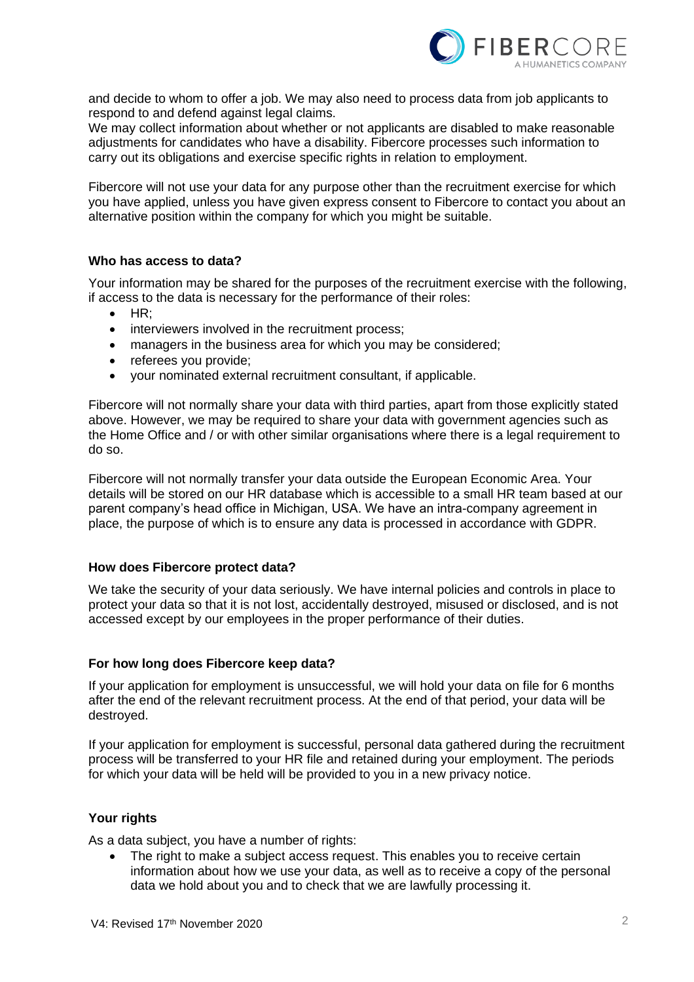

and decide to whom to offer a job. We may also need to process data from job applicants to respond to and defend against legal claims.

We may collect information about whether or not applicants are disabled to make reasonable adjustments for candidates who have a disability. Fibercore processes such information to carry out its obligations and exercise specific rights in relation to employment.

Fibercore will not use your data for any purpose other than the recruitment exercise for which you have applied, unless you have given express consent to Fibercore to contact you about an alternative position within the company for which you might be suitable.

#### **Who has access to data?**

Your information may be shared for the purposes of the recruitment exercise with the following, if access to the data is necessary for the performance of their roles:

- HR;
- interviewers involved in the recruitment process;
- managers in the business area for which you may be considered;
- referees you provide;
- your nominated external recruitment consultant, if applicable.

Fibercore will not normally share your data with third parties, apart from those explicitly stated above. However, we may be required to share your data with government agencies such as the Home Office and / or with other similar organisations where there is a legal requirement to do so.

Fibercore will not normally transfer your data outside the European Economic Area. Your details will be stored on our HR database which is accessible to a small HR team based at our parent company's head office in Michigan, USA. We have an intra-company agreement in place, the purpose of which is to ensure any data is processed in accordance with GDPR.

#### **How does Fibercore protect data?**

We take the security of your data seriously. We have internal policies and controls in place to protect your data so that it is not lost, accidentally destroyed, misused or disclosed, and is not accessed except by our employees in the proper performance of their duties.

#### **For how long does Fibercore keep data?**

If your application for employment is unsuccessful, we will hold your data on file for 6 months after the end of the relevant recruitment process. At the end of that period, your data will be destroyed.

If your application for employment is successful, personal data gathered during the recruitment process will be transferred to your HR file and retained during your employment. The periods for which your data will be held will be provided to you in a new privacy notice.

## **Your rights**

As a data subject, you have a number of rights:

The right to make a subject access request. This enables you to receive certain information about how we use your data, as well as to receive a copy of the personal data we hold about you and to check that we are lawfully processing it.